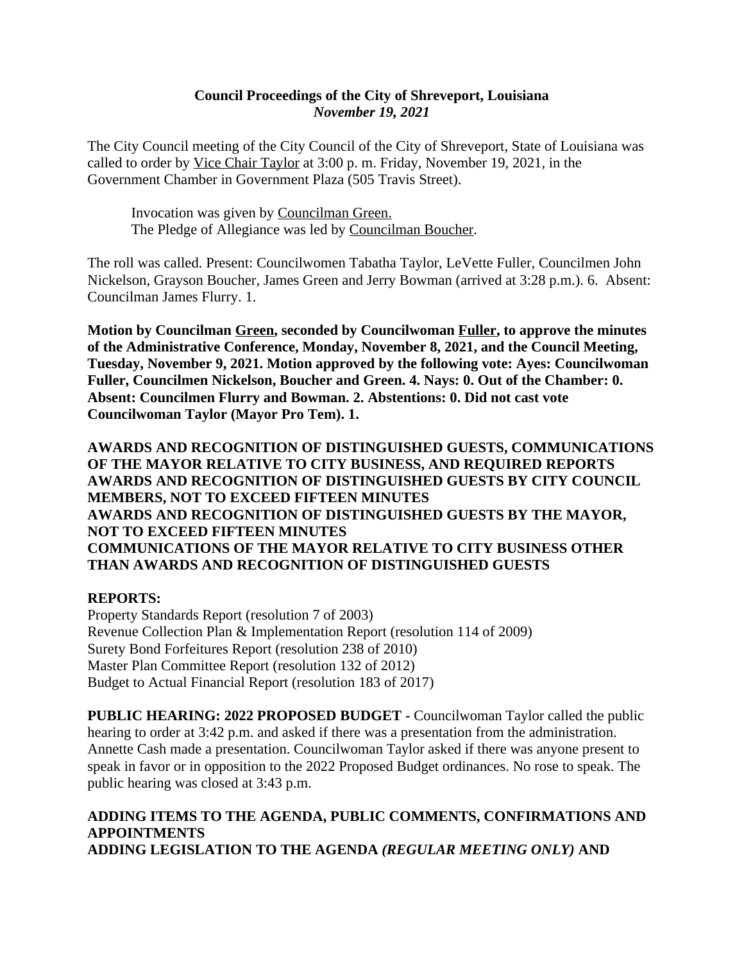### **Council Proceedings of the City of Shreveport, Louisiana** *November 19, 2021*

The City Council meeting of the City Council of the City of Shreveport, State of Louisiana was called to order by Vice Chair Taylor at 3:00 p. m. Friday, November 19, 2021, in the Government Chamber in Government Plaza (505 Travis Street).

Invocation was given by Councilman Green. The Pledge of Allegiance was led by Councilman Boucher.

The roll was called. Present: Councilwomen Tabatha Taylor, LeVette Fuller, Councilmen John Nickelson, Grayson Boucher, James Green and Jerry Bowman (arrived at 3:28 p.m.). 6. Absent: Councilman James Flurry. 1.

**Motion by Councilman Green, seconded by Councilwoman Fuller, to approve the minutes of the Administrative Conference, Monday, November 8, 2021, and the Council Meeting, Tuesday, November 9, 2021. Motion approved by the following vote: Ayes: Councilwoman Fuller, Councilmen Nickelson, Boucher and Green. 4. Nays: 0. Out of the Chamber: 0. Absent: Councilmen Flurry and Bowman. 2. Abstentions: 0. Did not cast vote Councilwoman Taylor (Mayor Pro Tem). 1.**

**AWARDS AND RECOGNITION OF DISTINGUISHED GUESTS, COMMUNICATIONS OF THE MAYOR RELATIVE TO CITY BUSINESS, AND REQUIRED REPORTS AWARDS AND RECOGNITION OF DISTINGUISHED GUESTS BY CITY COUNCIL MEMBERS, NOT TO EXCEED FIFTEEN MINUTES AWARDS AND RECOGNITION OF DISTINGUISHED GUESTS BY THE MAYOR, NOT TO EXCEED FIFTEEN MINUTES COMMUNICATIONS OF THE MAYOR RELATIVE TO CITY BUSINESS OTHER THAN AWARDS AND RECOGNITION OF DISTINGUISHED GUESTS**

### **REPORTS:**

Property Standards Report (resolution 7 of 2003) Revenue Collection Plan & Implementation Report (resolution 114 of 2009) Surety Bond Forfeitures Report (resolution 238 of 2010) Master Plan Committee Report (resolution 132 of 2012) Budget to Actual Financial Report (resolution 183 of 2017)

**PUBLIC HEARING: 2022 PROPOSED BUDGET -** Councilwoman Taylor called the public hearing to order at 3:42 p.m. and asked if there was a presentation from the administration. Annette Cash made a presentation. Councilwoman Taylor asked if there was anyone present to speak in favor or in opposition to the 2022 Proposed Budget ordinances. No rose to speak. The public hearing was closed at 3:43 p.m.

## **ADDING ITEMS TO THE AGENDA, PUBLIC COMMENTS, CONFIRMATIONS AND APPOINTMENTS ADDING LEGISLATION TO THE AGENDA** *(REGULAR MEETING ONLY)* **AND**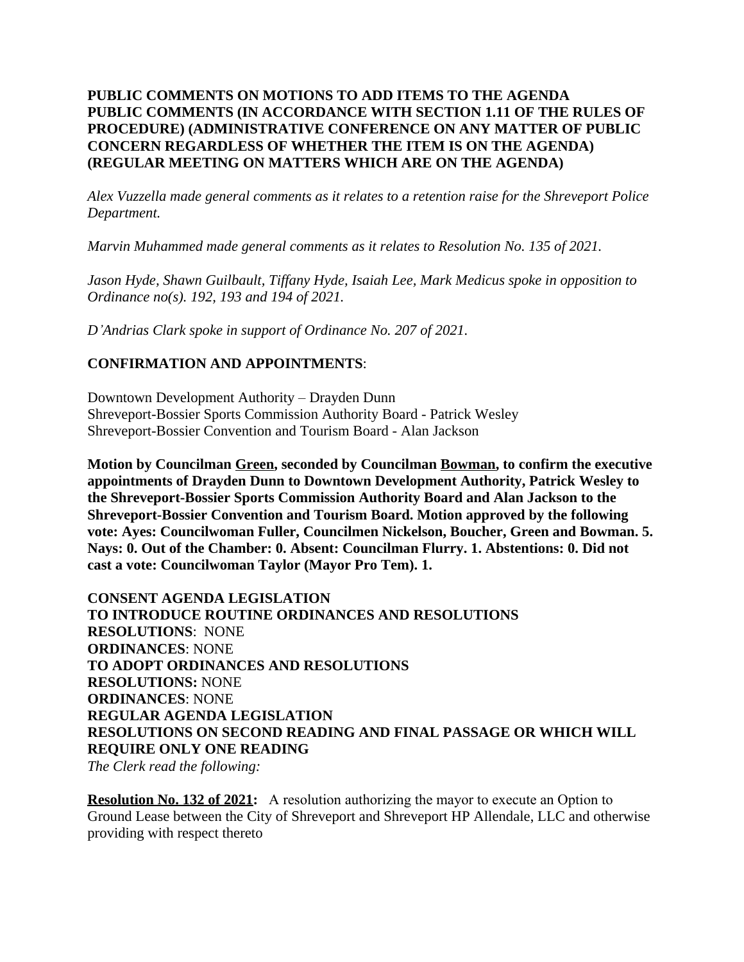### **PUBLIC COMMENTS ON MOTIONS TO ADD ITEMS TO THE AGENDA PUBLIC COMMENTS (IN ACCORDANCE WITH SECTION 1.11 OF THE RULES OF PROCEDURE) (ADMINISTRATIVE CONFERENCE ON ANY MATTER OF PUBLIC CONCERN REGARDLESS OF WHETHER THE ITEM IS ON THE AGENDA) (REGULAR MEETING ON MATTERS WHICH ARE ON THE AGENDA)**

*Alex Vuzzella made general comments as it relates to a retention raise for the Shreveport Police Department.* 

*Marvin Muhammed made general comments as it relates to Resolution No. 135 of 2021.*

*Jason Hyde, Shawn Guilbault, Tiffany Hyde, Isaiah Lee, Mark Medicus spoke in opposition to Ordinance no(s). 192, 193 and 194 of 2021.*

*D'Andrias Clark spoke in support of Ordinance No. 207 of 2021.*

# **CONFIRMATION AND APPOINTMENTS**:

Downtown Development Authority – Drayden Dunn Shreveport-Bossier Sports Commission Authority Board - Patrick Wesley Shreveport-Bossier Convention and Tourism Board - Alan Jackson

**Motion by Councilman Green, seconded by Councilman Bowman, to confirm the executive appointments of Drayden Dunn to Downtown Development Authority, Patrick Wesley to the Shreveport-Bossier Sports Commission Authority Board and Alan Jackson to the Shreveport-Bossier Convention and Tourism Board. Motion approved by the following vote: Ayes: Councilwoman Fuller, Councilmen Nickelson, Boucher, Green and Bowman. 5. Nays: 0. Out of the Chamber: 0. Absent: Councilman Flurry. 1. Abstentions: 0. Did not cast a vote: Councilwoman Taylor (Mayor Pro Tem). 1.**

**CONSENT AGENDA LEGISLATION TO INTRODUCE ROUTINE ORDINANCES AND RESOLUTIONS RESOLUTIONS**: NONE **ORDINANCES**: NONE **TO ADOPT ORDINANCES AND RESOLUTIONS RESOLUTIONS:** NONE **ORDINANCES**: NONE **REGULAR AGENDA LEGISLATION RESOLUTIONS ON SECOND READING AND FINAL PASSAGE OR WHICH WILL REQUIRE ONLY ONE READING** *The Clerk read the following:*

**Resolution No. 132 of 2021:** A resolution authorizing the mayor to execute an Option to Ground Lease between the City of Shreveport and Shreveport HP Allendale, LLC and otherwise providing with respect thereto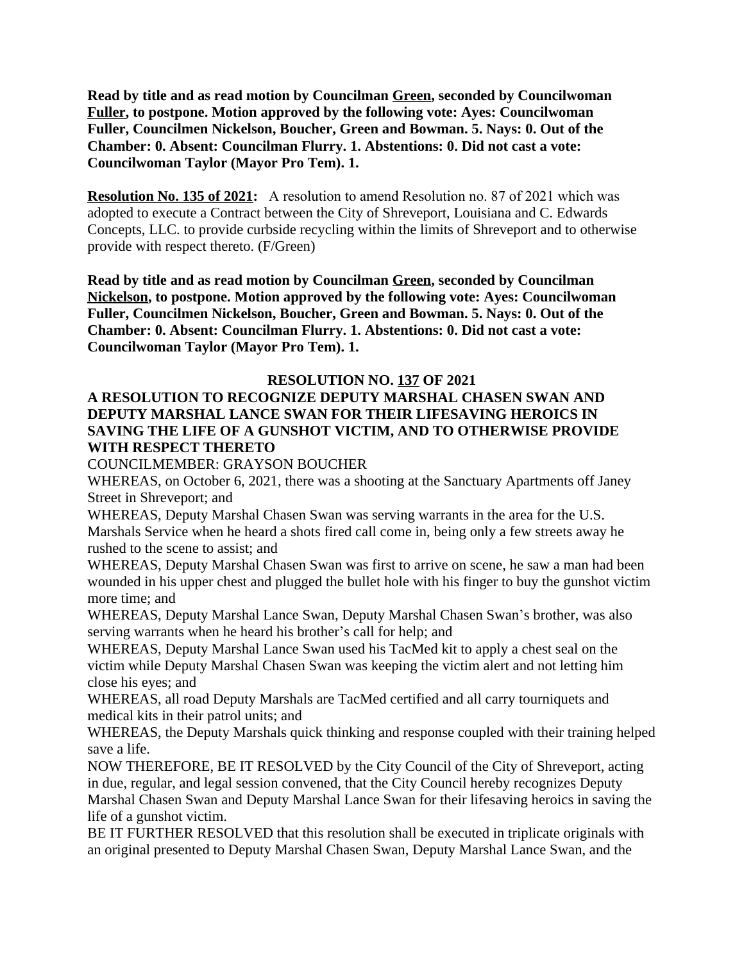**Read by title and as read motion by Councilman Green, seconded by Councilwoman Fuller, to postpone. Motion approved by the following vote: Ayes: Councilwoman Fuller, Councilmen Nickelson, Boucher, Green and Bowman. 5. Nays: 0. Out of the Chamber: 0. Absent: Councilman Flurry. 1. Abstentions: 0. Did not cast a vote: Councilwoman Taylor (Mayor Pro Tem). 1.**

**Resolution No. 135 of 2021:** A resolution to amend Resolution no. 87 of 2021 which was adopted to execute a Contract between the City of Shreveport, Louisiana and C. Edwards Concepts, LLC. to provide curbside recycling within the limits of Shreveport and to otherwise provide with respect thereto. (F/Green)

**Read by title and as read motion by Councilman Green, seconded by Councilman Nickelson, to postpone. Motion approved by the following vote: Ayes: Councilwoman Fuller, Councilmen Nickelson, Boucher, Green and Bowman. 5. Nays: 0. Out of the Chamber: 0. Absent: Councilman Flurry. 1. Abstentions: 0. Did not cast a vote: Councilwoman Taylor (Mayor Pro Tem). 1.**

### **RESOLUTION NO. 137 OF 2021**

## **A RESOLUTION TO RECOGNIZE DEPUTY MARSHAL CHASEN SWAN AND DEPUTY MARSHAL LANCE SWAN FOR THEIR LIFESAVING HEROICS IN SAVING THE LIFE OF A GUNSHOT VICTIM, AND TO OTHERWISE PROVIDE WITH RESPECT THERETO**

COUNCILMEMBER: GRAYSON BOUCHER

WHEREAS, on October 6, 2021, there was a shooting at the Sanctuary Apartments off Janey Street in Shreveport; and

WHEREAS, Deputy Marshal Chasen Swan was serving warrants in the area for the U.S. Marshals Service when he heard a shots fired call come in, being only a few streets away he rushed to the scene to assist; and

WHEREAS, Deputy Marshal Chasen Swan was first to arrive on scene, he saw a man had been wounded in his upper chest and plugged the bullet hole with his finger to buy the gunshot victim more time; and

WHEREAS, Deputy Marshal Lance Swan, Deputy Marshal Chasen Swan's brother, was also serving warrants when he heard his brother's call for help; and

WHEREAS, Deputy Marshal Lance Swan used his TacMed kit to apply a chest seal on the victim while Deputy Marshal Chasen Swan was keeping the victim alert and not letting him close his eyes; and

WHEREAS, all road Deputy Marshals are TacMed certified and all carry tourniquets and medical kits in their patrol units; and

WHEREAS, the Deputy Marshals quick thinking and response coupled with their training helped save a life.

NOW THEREFORE, BE IT RESOLVED by the City Council of the City of Shreveport, acting in due, regular, and legal session convened, that the City Council hereby recognizes Deputy Marshal Chasen Swan and Deputy Marshal Lance Swan for their lifesaving heroics in saving the life of a gunshot victim.

BE IT FURTHER RESOLVED that this resolution shall be executed in triplicate originals with an original presented to Deputy Marshal Chasen Swan, Deputy Marshal Lance Swan, and the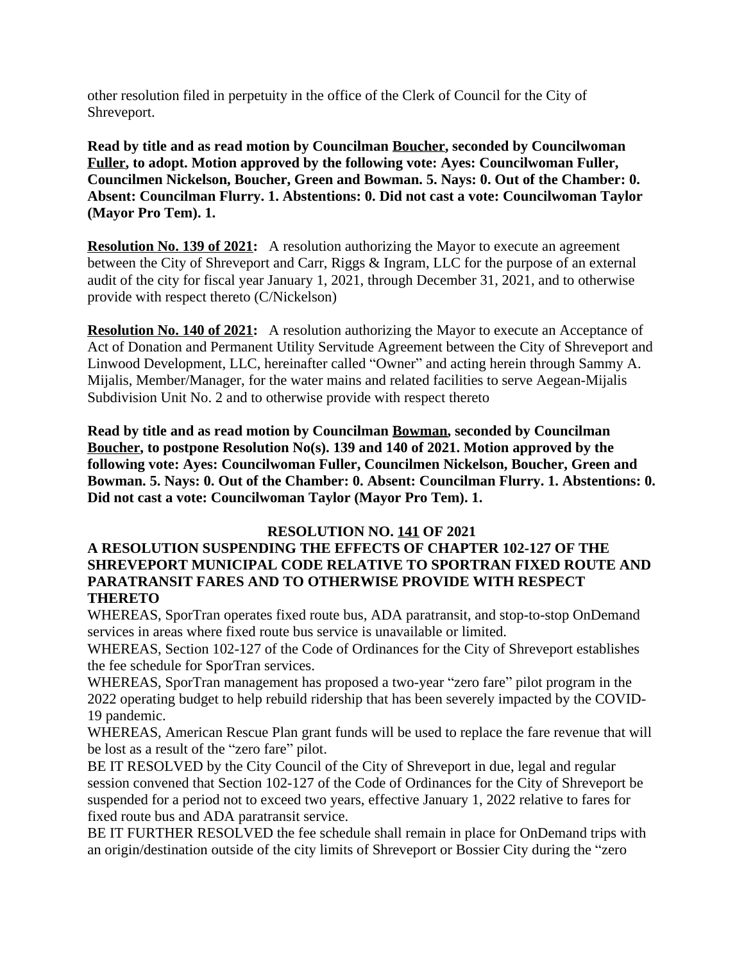other resolution filed in perpetuity in the office of the Clerk of Council for the City of Shreveport.

**Read by title and as read motion by Councilman Boucher, seconded by Councilwoman Fuller, to adopt. Motion approved by the following vote: Ayes: Councilwoman Fuller, Councilmen Nickelson, Boucher, Green and Bowman. 5. Nays: 0. Out of the Chamber: 0. Absent: Councilman Flurry. 1. Abstentions: 0. Did not cast a vote: Councilwoman Taylor (Mayor Pro Tem). 1.**

**Resolution No. 139 of 2021:** A resolution authorizing the Mayor to execute an agreement between the City of Shreveport and Carr, Riggs & Ingram, LLC for the purpose of an external audit of the city for fiscal year January 1, 2021, through December 31, 2021, and to otherwise provide with respect thereto (C/Nickelson)

**Resolution No. 140 of 2021:** A resolution authorizing the Mayor to execute an Acceptance of Act of Donation and Permanent Utility Servitude Agreement between the City of Shreveport and Linwood Development, LLC, hereinafter called "Owner" and acting herein through Sammy A. Mijalis, Member/Manager, for the water mains and related facilities to serve Aegean-Mijalis Subdivision Unit No. 2 and to otherwise provide with respect thereto

**Read by title and as read motion by Councilman Bowman, seconded by Councilman Boucher, to postpone Resolution No(s). 139 and 140 of 2021. Motion approved by the following vote: Ayes: Councilwoman Fuller, Councilmen Nickelson, Boucher, Green and Bowman. 5. Nays: 0. Out of the Chamber: 0. Absent: Councilman Flurry. 1. Abstentions: 0. Did not cast a vote: Councilwoman Taylor (Mayor Pro Tem). 1.**

#### **RESOLUTION NO. 141 OF 2021**

### **A RESOLUTION SUSPENDING THE EFFECTS OF CHAPTER 102-127 OF THE SHREVEPORT MUNICIPAL CODE RELATIVE TO SPORTRAN FIXED ROUTE AND PARATRANSIT FARES AND TO OTHERWISE PROVIDE WITH RESPECT THERETO**

WHEREAS, SporTran operates fixed route bus, ADA paratransit, and stop-to-stop OnDemand services in areas where fixed route bus service is unavailable or limited.

WHEREAS, Section 102-127 of the Code of Ordinances for the City of Shreveport establishes the fee schedule for SporTran services.

WHEREAS, SporTran management has proposed a two-year "zero fare" pilot program in the 2022 operating budget to help rebuild ridership that has been severely impacted by the COVID-19 pandemic.

WHEREAS, American Rescue Plan grant funds will be used to replace the fare revenue that will be lost as a result of the "zero fare" pilot.

BE IT RESOLVED by the City Council of the City of Shreveport in due, legal and regular session convened that Section 102-127 of the Code of Ordinances for the City of Shreveport be suspended for a period not to exceed two years, effective January 1, 2022 relative to fares for fixed route bus and ADA paratransit service.

BE IT FURTHER RESOLVED the fee schedule shall remain in place for OnDemand trips with an origin/destination outside of the city limits of Shreveport or Bossier City during the "zero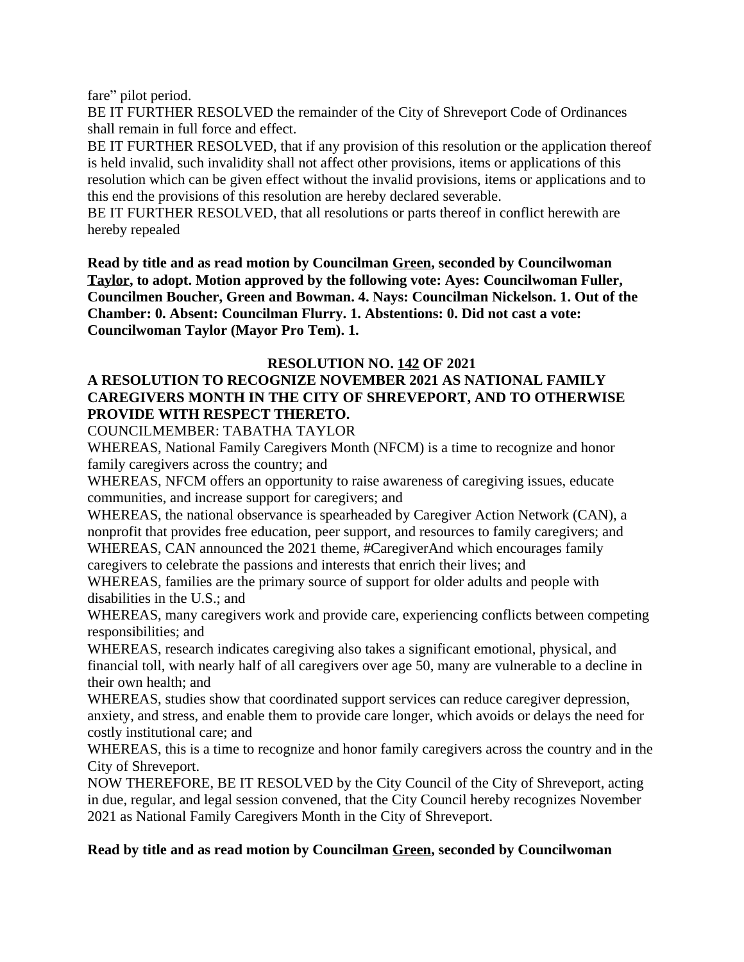fare" pilot period.

BE IT FURTHER RESOLVED the remainder of the City of Shreveport Code of Ordinances shall remain in full force and effect.

BE IT FURTHER RESOLVED, that if any provision of this resolution or the application thereof is held invalid, such invalidity shall not affect other provisions, items or applications of this resolution which can be given effect without the invalid provisions, items or applications and to this end the provisions of this resolution are hereby declared severable.

BE IT FURTHER RESOLVED, that all resolutions or parts thereof in conflict herewith are hereby repealed

**Read by title and as read motion by Councilman Green, seconded by Councilwoman Taylor, to adopt. Motion approved by the following vote: Ayes: Councilwoman Fuller, Councilmen Boucher, Green and Bowman. 4. Nays: Councilman Nickelson. 1. Out of the Chamber: 0. Absent: Councilman Flurry. 1. Abstentions: 0. Did not cast a vote: Councilwoman Taylor (Mayor Pro Tem). 1.**

### **RESOLUTION NO. 142 OF 2021**

# **A RESOLUTION TO RECOGNIZE NOVEMBER 2021 AS NATIONAL FAMILY CAREGIVERS MONTH IN THE CITY OF SHREVEPORT, AND TO OTHERWISE PROVIDE WITH RESPECT THERETO.**

COUNCILMEMBER: TABATHA TAYLOR

WHEREAS, National Family Caregivers Month (NFCM) is a time to recognize and honor family caregivers across the country; and

WHEREAS, NFCM offers an opportunity to raise awareness of caregiving issues, educate communities, and increase support for caregivers; and

WHEREAS, the national observance is spearheaded by Caregiver Action Network (CAN), a nonprofit that provides free education, peer support, and resources to family caregivers; and WHEREAS, CAN announced the 2021 theme, #CaregiverAnd which encourages family caregivers to celebrate the passions and interests that enrich their lives; and

WHEREAS, families are the primary source of support for older adults and people with disabilities in the U.S.; and

WHEREAS, many caregivers work and provide care, experiencing conflicts between competing responsibilities; and

WHEREAS, research indicates caregiving also takes a significant emotional, physical, and financial toll, with nearly half of all caregivers over age 50, many are vulnerable to a decline in their own health; and

WHEREAS, studies show that coordinated support services can reduce caregiver depression, anxiety, and stress, and enable them to provide care longer, which avoids or delays the need for costly institutional care; and

WHEREAS, this is a time to recognize and honor family caregivers across the country and in the City of Shreveport.

NOW THEREFORE, BE IT RESOLVED by the City Council of the City of Shreveport, acting in due, regular, and legal session convened, that the City Council hereby recognizes November 2021 as National Family Caregivers Month in the City of Shreveport.

#### **Read by title and as read motion by Councilman Green, seconded by Councilwoman**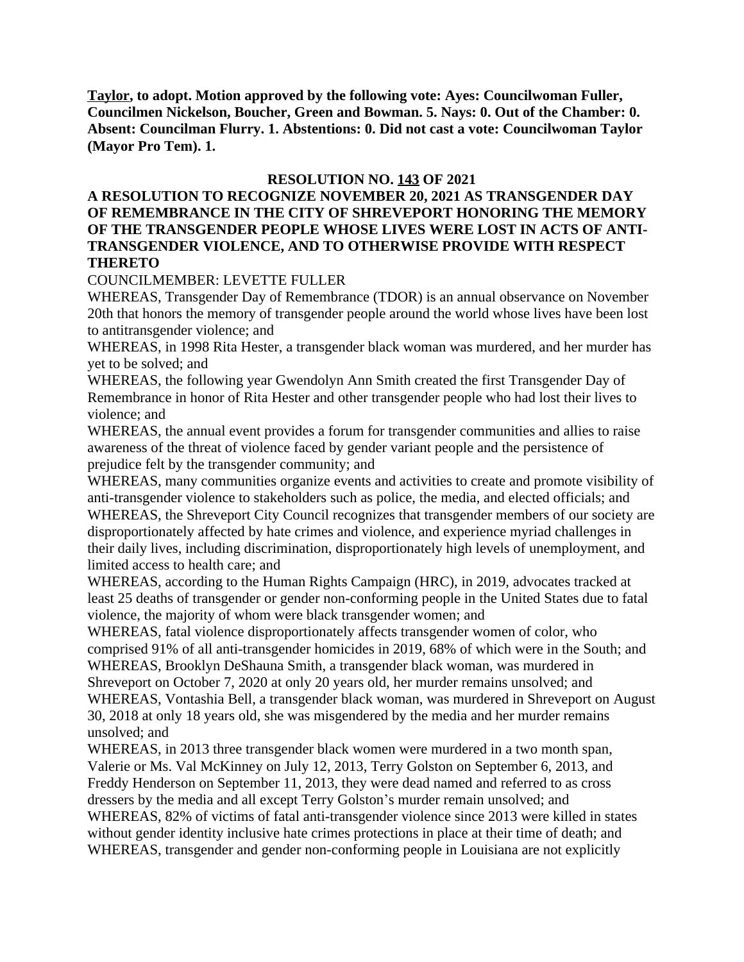**Taylor, to adopt. Motion approved by the following vote: Ayes: Councilwoman Fuller, Councilmen Nickelson, Boucher, Green and Bowman. 5. Nays: 0. Out of the Chamber: 0. Absent: Councilman Flurry. 1. Abstentions: 0. Did not cast a vote: Councilwoman Taylor (Mayor Pro Tem). 1.**

### **RESOLUTION NO. 143 OF 2021**

#### **A RESOLUTION TO RECOGNIZE NOVEMBER 20, 2021 AS TRANSGENDER DAY OF REMEMBRANCE IN THE CITY OF SHREVEPORT HONORING THE MEMORY OF THE TRANSGENDER PEOPLE WHOSE LIVES WERE LOST IN ACTS OF ANTI-TRANSGENDER VIOLENCE, AND TO OTHERWISE PROVIDE WITH RESPECT THERETO**

#### COUNCILMEMBER: LEVETTE FULLER

WHEREAS, Transgender Day of Remembrance (TDOR) is an annual observance on November 20th that honors the memory of transgender people around the world whose lives have been lost to antitransgender violence; and

WHEREAS, in 1998 Rita Hester, a transgender black woman was murdered, and her murder has yet to be solved; and

WHEREAS, the following year Gwendolyn Ann Smith created the first Transgender Day of Remembrance in honor of Rita Hester and other transgender people who had lost their lives to violence; and

WHEREAS, the annual event provides a forum for transgender communities and allies to raise awareness of the threat of violence faced by gender variant people and the persistence of prejudice felt by the transgender community; and

WHEREAS, many communities organize events and activities to create and promote visibility of anti-transgender violence to stakeholders such as police, the media, and elected officials; and WHEREAS, the Shreveport City Council recognizes that transgender members of our society are disproportionately affected by hate crimes and violence, and experience myriad challenges in their daily lives, including discrimination, disproportionately high levels of unemployment, and limited access to health care; and

WHEREAS, according to the Human Rights Campaign (HRC), in 2019, advocates tracked at least 25 deaths of transgender or gender non-conforming people in the United States due to fatal violence, the majority of whom were black transgender women; and

WHEREAS, fatal violence disproportionately affects transgender women of color, who comprised 91% of all anti-transgender homicides in 2019, 68% of which were in the South; and WHEREAS, Brooklyn DeShauna Smith, a transgender black woman, was murdered in Shreveport on October 7, 2020 at only 20 years old, her murder remains unsolved; and WHEREAS, Vontashia Bell, a transgender black woman, was murdered in Shreveport on August 30, 2018 at only 18 years old, she was misgendered by the media and her murder remains

unsolved; and

WHEREAS, in 2013 three transgender black women were murdered in a two month span, Valerie or Ms. Val McKinney on July 12, 2013, Terry Golston on September 6, 2013, and Freddy Henderson on September 11, 2013, they were dead named and referred to as cross dressers by the media and all except Terry Golston's murder remain unsolved; and WHEREAS, 82% of victims of fatal anti-transgender violence since 2013 were killed in states without gender identity inclusive hate crimes protections in place at their time of death; and WHEREAS, transgender and gender non-conforming people in Louisiana are not explicitly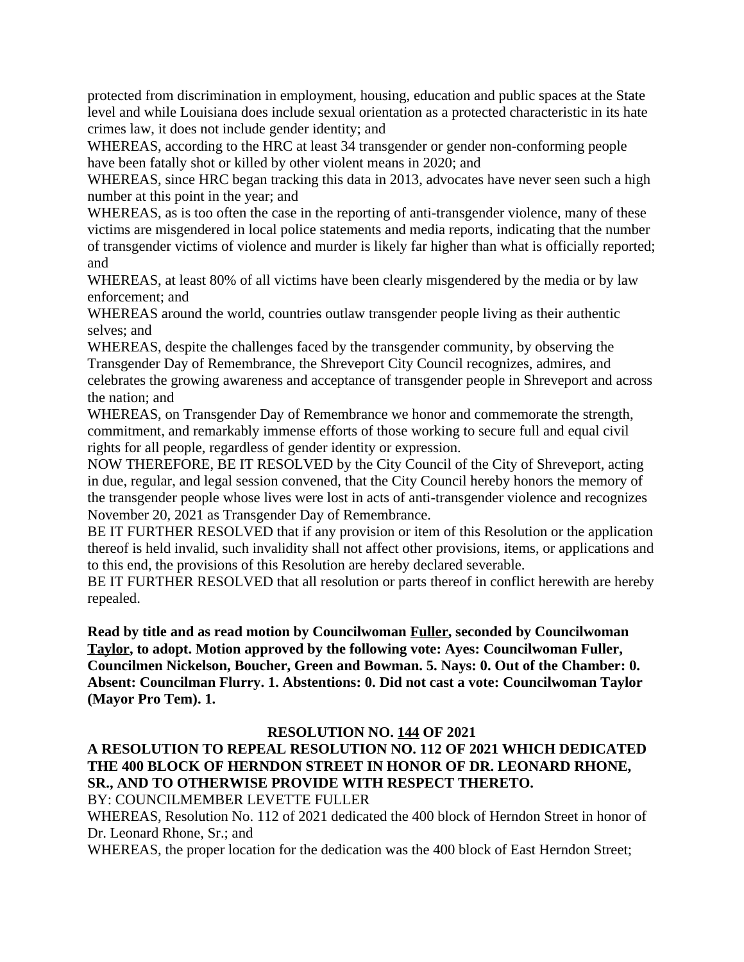protected from discrimination in employment, housing, education and public spaces at the State level and while Louisiana does include sexual orientation as a protected characteristic in its hate crimes law, it does not include gender identity; and

WHEREAS, according to the HRC at least 34 transgender or gender non-conforming people have been fatally shot or killed by other violent means in 2020; and

WHEREAS, since HRC began tracking this data in 2013, advocates have never seen such a high number at this point in the year; and

WHEREAS, as is too often the case in the reporting of anti-transgender violence, many of these victims are misgendered in local police statements and media reports, indicating that the number of transgender victims of violence and murder is likely far higher than what is officially reported; and

WHEREAS, at least 80% of all victims have been clearly misgendered by the media or by law enforcement; and

WHEREAS around the world, countries outlaw transgender people living as their authentic selves; and

WHEREAS, despite the challenges faced by the transgender community, by observing the Transgender Day of Remembrance, the Shreveport City Council recognizes, admires, and celebrates the growing awareness and acceptance of transgender people in Shreveport and across the nation; and

WHEREAS, on Transgender Day of Remembrance we honor and commemorate the strength, commitment, and remarkably immense efforts of those working to secure full and equal civil rights for all people, regardless of gender identity or expression.

NOW THEREFORE, BE IT RESOLVED by the City Council of the City of Shreveport, acting in due, regular, and legal session convened, that the City Council hereby honors the memory of the transgender people whose lives were lost in acts of anti-transgender violence and recognizes November 20, 2021 as Transgender Day of Remembrance.

BE IT FURTHER RESOLVED that if any provision or item of this Resolution or the application thereof is held invalid, such invalidity shall not affect other provisions, items, or applications and to this end, the provisions of this Resolution are hereby declared severable.

BE IT FURTHER RESOLVED that all resolution or parts thereof in conflict herewith are hereby repealed.

**Read by title and as read motion by Councilwoman Fuller, seconded by Councilwoman Taylor, to adopt. Motion approved by the following vote: Ayes: Councilwoman Fuller, Councilmen Nickelson, Boucher, Green and Bowman. 5. Nays: 0. Out of the Chamber: 0. Absent: Councilman Flurry. 1. Abstentions: 0. Did not cast a vote: Councilwoman Taylor (Mayor Pro Tem). 1.**

### **RESOLUTION NO. 144 OF 2021**

# **A RESOLUTION TO REPEAL RESOLUTION NO. 112 OF 2021 WHICH DEDICATED THE 400 BLOCK OF HERNDON STREET IN HONOR OF DR. LEONARD RHONE, SR., AND TO OTHERWISE PROVIDE WITH RESPECT THERETO.**

BY: COUNCILMEMBER LEVETTE FULLER

WHEREAS, Resolution No. 112 of 2021 dedicated the 400 block of Herndon Street in honor of Dr. Leonard Rhone, Sr.; and

WHEREAS, the proper location for the dedication was the 400 block of East Herndon Street;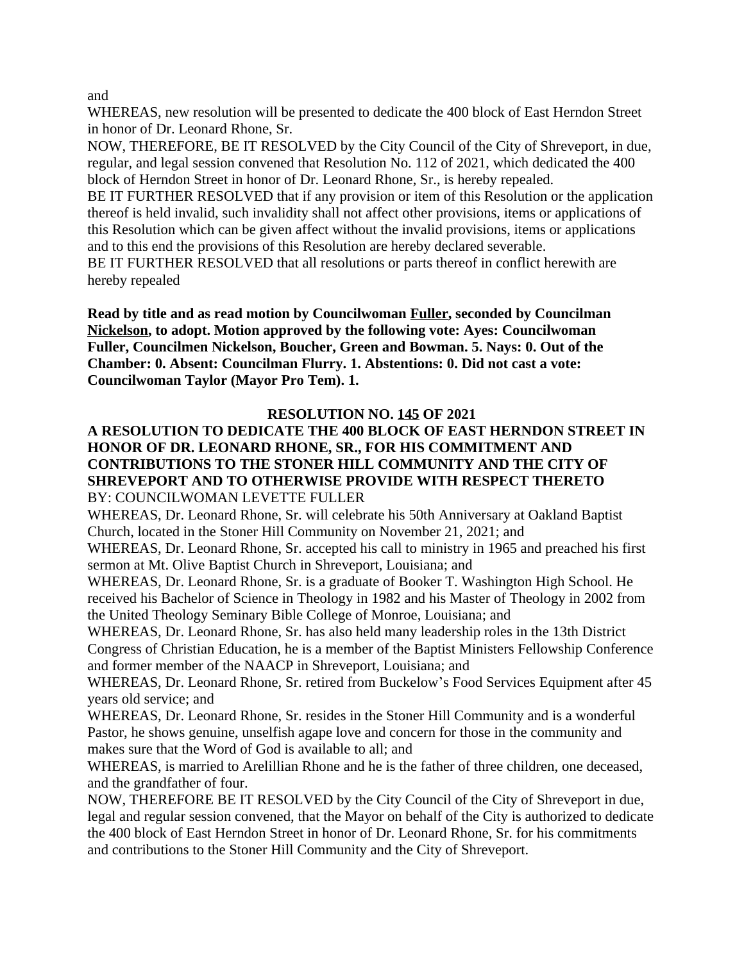and

WHEREAS, new resolution will be presented to dedicate the 400 block of East Herndon Street in honor of Dr. Leonard Rhone, Sr.

NOW, THEREFORE, BE IT RESOLVED by the City Council of the City of Shreveport, in due, regular, and legal session convened that Resolution No. 112 of 2021, which dedicated the 400 block of Herndon Street in honor of Dr. Leonard Rhone, Sr., is hereby repealed.

BE IT FURTHER RESOLVED that if any provision or item of this Resolution or the application thereof is held invalid, such invalidity shall not affect other provisions, items or applications of this Resolution which can be given affect without the invalid provisions, items or applications and to this end the provisions of this Resolution are hereby declared severable.

BE IT FURTHER RESOLVED that all resolutions or parts thereof in conflict herewith are hereby repealed

**Read by title and as read motion by Councilwoman Fuller, seconded by Councilman Nickelson, to adopt. Motion approved by the following vote: Ayes: Councilwoman Fuller, Councilmen Nickelson, Boucher, Green and Bowman. 5. Nays: 0. Out of the Chamber: 0. Absent: Councilman Flurry. 1. Abstentions: 0. Did not cast a vote: Councilwoman Taylor (Mayor Pro Tem). 1.**

### **RESOLUTION NO. 145 OF 2021**

### **A RESOLUTION TO DEDICATE THE 400 BLOCK OF EAST HERNDON STREET IN HONOR OF DR. LEONARD RHONE, SR., FOR HIS COMMITMENT AND CONTRIBUTIONS TO THE STONER HILL COMMUNITY AND THE CITY OF SHREVEPORT AND TO OTHERWISE PROVIDE WITH RESPECT THERETO** BY: COUNCILWOMAN LEVETTE FULLER

WHEREAS, Dr. Leonard Rhone, Sr. will celebrate his 50th Anniversary at Oakland Baptist Church, located in the Stoner Hill Community on November 21, 2021; and

WHEREAS, Dr. Leonard Rhone, Sr. accepted his call to ministry in 1965 and preached his first sermon at Mt. Olive Baptist Church in Shreveport, Louisiana; and

WHEREAS, Dr. Leonard Rhone, Sr. is a graduate of Booker T. Washington High School. He received his Bachelor of Science in Theology in 1982 and his Master of Theology in 2002 from the United Theology Seminary Bible College of Monroe, Louisiana; and

WHEREAS, Dr. Leonard Rhone, Sr. has also held many leadership roles in the 13th District Congress of Christian Education, he is a member of the Baptist Ministers Fellowship Conference and former member of the NAACP in Shreveport, Louisiana; and

WHEREAS, Dr. Leonard Rhone, Sr. retired from Buckelow's Food Services Equipment after 45 years old service; and

WHEREAS, Dr. Leonard Rhone, Sr. resides in the Stoner Hill Community and is a wonderful Pastor, he shows genuine, unselfish agape love and concern for those in the community and makes sure that the Word of God is available to all; and

WHEREAS, is married to Arelillian Rhone and he is the father of three children, one deceased, and the grandfather of four.

NOW, THEREFORE BE IT RESOLVED by the City Council of the City of Shreveport in due, legal and regular session convened, that the Mayor on behalf of the City is authorized to dedicate the 400 block of East Herndon Street in honor of Dr. Leonard Rhone, Sr. for his commitments and contributions to the Stoner Hill Community and the City of Shreveport.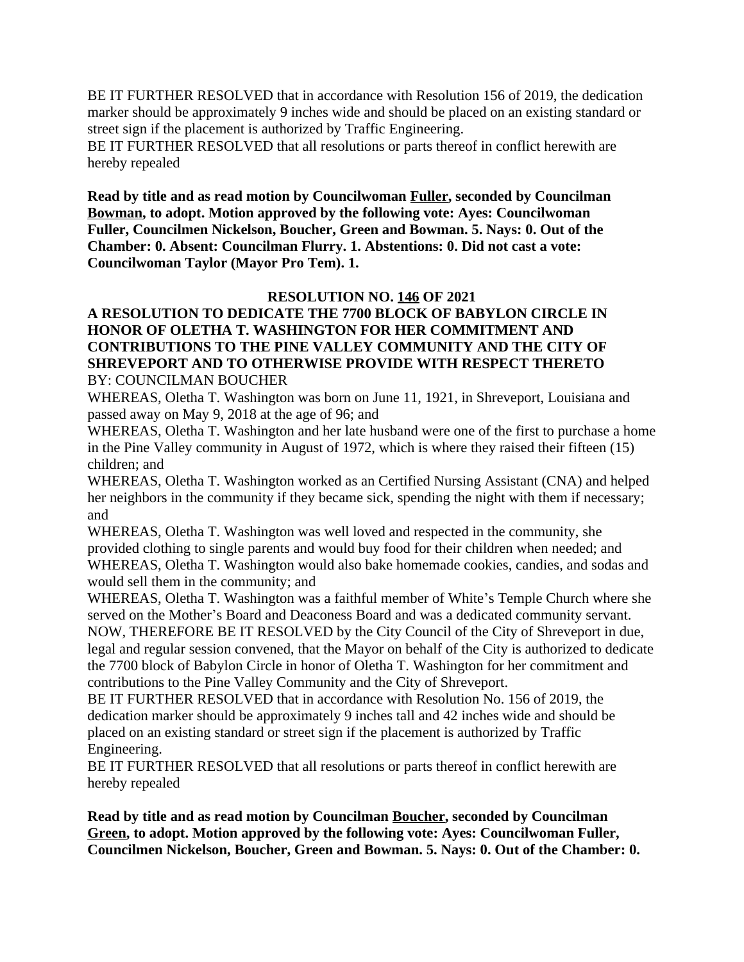BE IT FURTHER RESOLVED that in accordance with Resolution 156 of 2019, the dedication marker should be approximately 9 inches wide and should be placed on an existing standard or street sign if the placement is authorized by Traffic Engineering.

BE IT FURTHER RESOLVED that all resolutions or parts thereof in conflict herewith are hereby repealed

**Read by title and as read motion by Councilwoman Fuller, seconded by Councilman Bowman, to adopt. Motion approved by the following vote: Ayes: Councilwoman Fuller, Councilmen Nickelson, Boucher, Green and Bowman. 5. Nays: 0. Out of the Chamber: 0. Absent: Councilman Flurry. 1. Abstentions: 0. Did not cast a vote: Councilwoman Taylor (Mayor Pro Tem). 1.**

### **RESOLUTION NO. 146 OF 2021**

### **A RESOLUTION TO DEDICATE THE 7700 BLOCK OF BABYLON CIRCLE IN HONOR OF OLETHA T. WASHINGTON FOR HER COMMITMENT AND CONTRIBUTIONS TO THE PINE VALLEY COMMUNITY AND THE CITY OF SHREVEPORT AND TO OTHERWISE PROVIDE WITH RESPECT THERETO** BY: COUNCILMAN BOUCHER

WHEREAS, Oletha T. Washington was born on June 11, 1921, in Shreveport, Louisiana and passed away on May 9, 2018 at the age of 96; and

WHEREAS, Oletha T. Washington and her late husband were one of the first to purchase a home in the Pine Valley community in August of 1972, which is where they raised their fifteen (15) children; and

WHEREAS, Oletha T. Washington worked as an Certified Nursing Assistant (CNA) and helped her neighbors in the community if they became sick, spending the night with them if necessary; and

WHEREAS, Oletha T. Washington was well loved and respected in the community, she provided clothing to single parents and would buy food for their children when needed; and WHEREAS, Oletha T. Washington would also bake homemade cookies, candies, and sodas and would sell them in the community; and

WHEREAS, Oletha T. Washington was a faithful member of White's Temple Church where she served on the Mother's Board and Deaconess Board and was a dedicated community servant. NOW, THEREFORE BE IT RESOLVED by the City Council of the City of Shreveport in due, legal and regular session convened, that the Mayor on behalf of the City is authorized to dedicate the 7700 block of Babylon Circle in honor of Oletha T. Washington for her commitment and contributions to the Pine Valley Community and the City of Shreveport.

BE IT FURTHER RESOLVED that in accordance with Resolution No. 156 of 2019, the dedication marker should be approximately 9 inches tall and 42 inches wide and should be placed on an existing standard or street sign if the placement is authorized by Traffic Engineering.

BE IT FURTHER RESOLVED that all resolutions or parts thereof in conflict herewith are hereby repealed

**Read by title and as read motion by Councilman Boucher, seconded by Councilman Green, to adopt. Motion approved by the following vote: Ayes: Councilwoman Fuller, Councilmen Nickelson, Boucher, Green and Bowman. 5. Nays: 0. Out of the Chamber: 0.**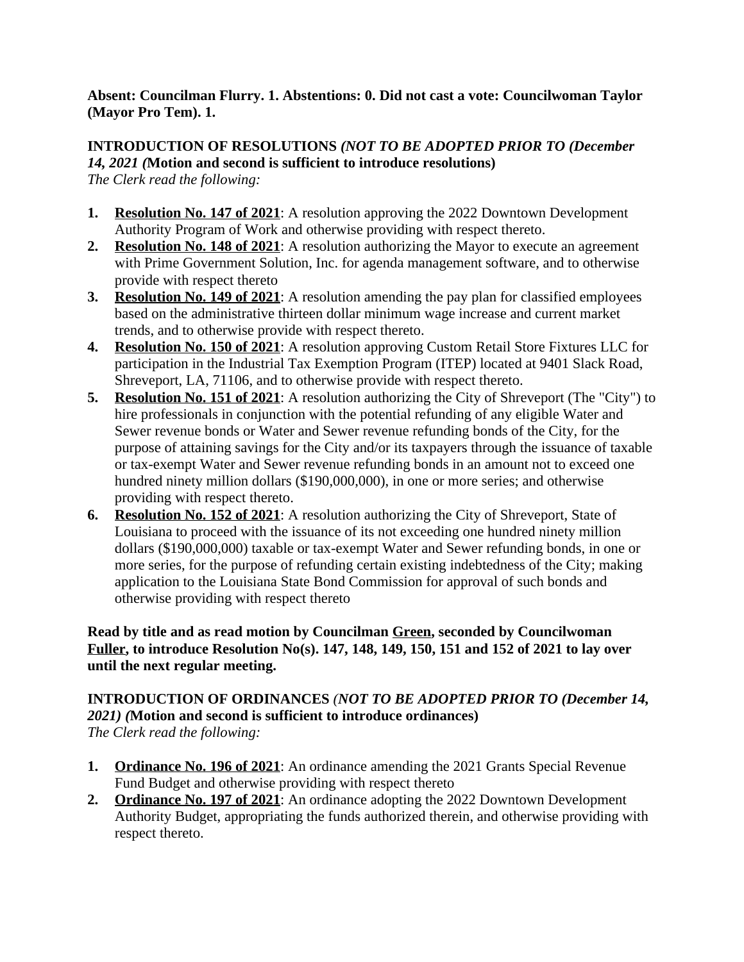### **Absent: Councilman Flurry. 1. Abstentions: 0. Did not cast a vote: Councilwoman Taylor (Mayor Pro Tem). 1.**

# **INTRODUCTION OF RESOLUTIONS** *(NOT TO BE ADOPTED PRIOR TO (December 14, 2021 (***Motion and second is sufficient to introduce resolutions)**

*The Clerk read the following:*

- **1. Resolution No. 147 of 2021**: A resolution approving the 2022 Downtown Development Authority Program of Work and otherwise providing with respect thereto.
- **2. Resolution No. 148 of 2021**: A resolution authorizing the Mayor to execute an agreement with Prime Government Solution, Inc. for agenda management software, and to otherwise provide with respect thereto
- **3. Resolution No. 149 of 2021**: A resolution amending the pay plan for classified employees based on the administrative thirteen dollar minimum wage increase and current market trends, and to otherwise provide with respect thereto.
- **4. Resolution No. 150 of 2021**: A resolution approving Custom Retail Store Fixtures LLC for participation in the Industrial Tax Exemption Program (ITEP) located at 9401 Slack Road, Shreveport, LA, 71106, and to otherwise provide with respect thereto.
- **5. Resolution No. 151 of 2021**: A resolution authorizing the City of Shreveport (The "City") to hire professionals in conjunction with the potential refunding of any eligible Water and Sewer revenue bonds or Water and Sewer revenue refunding bonds of the City, for the purpose of attaining savings for the City and/or its taxpayers through the issuance of taxable or tax-exempt Water and Sewer revenue refunding bonds in an amount not to exceed one hundred ninety million dollars (\$190,000,000), in one or more series; and otherwise providing with respect thereto.
- **6. Resolution No. 152 of 2021**: A resolution authorizing the City of Shreveport, State of Louisiana to proceed with the issuance of its not exceeding one hundred ninety million dollars (\$190,000,000) taxable or tax-exempt Water and Sewer refunding bonds, in one or more series, for the purpose of refunding certain existing indebtedness of the City; making application to the Louisiana State Bond Commission for approval of such bonds and otherwise providing with respect thereto

# **Read by title and as read motion by Councilman Green, seconded by Councilwoman Fuller, to introduce Resolution No(s). 147, 148, 149, 150, 151 and 152 of 2021 to lay over until the next regular meeting.**

#### **INTRODUCTION OF ORDINANCES** *(NOT TO BE ADOPTED PRIOR TO (December 14, 2021) (***Motion and second is sufficient to introduce ordinances)** *The Clerk read the following:*

- 
- **1. Ordinance No. 196 of 2021**: An ordinance amending the 2021 Grants Special Revenue Fund Budget and otherwise providing with respect thereto
- **2. Ordinance No. 197 of 2021**: An ordinance adopting the 2022 Downtown Development Authority Budget, appropriating the funds authorized therein, and otherwise providing with respect thereto.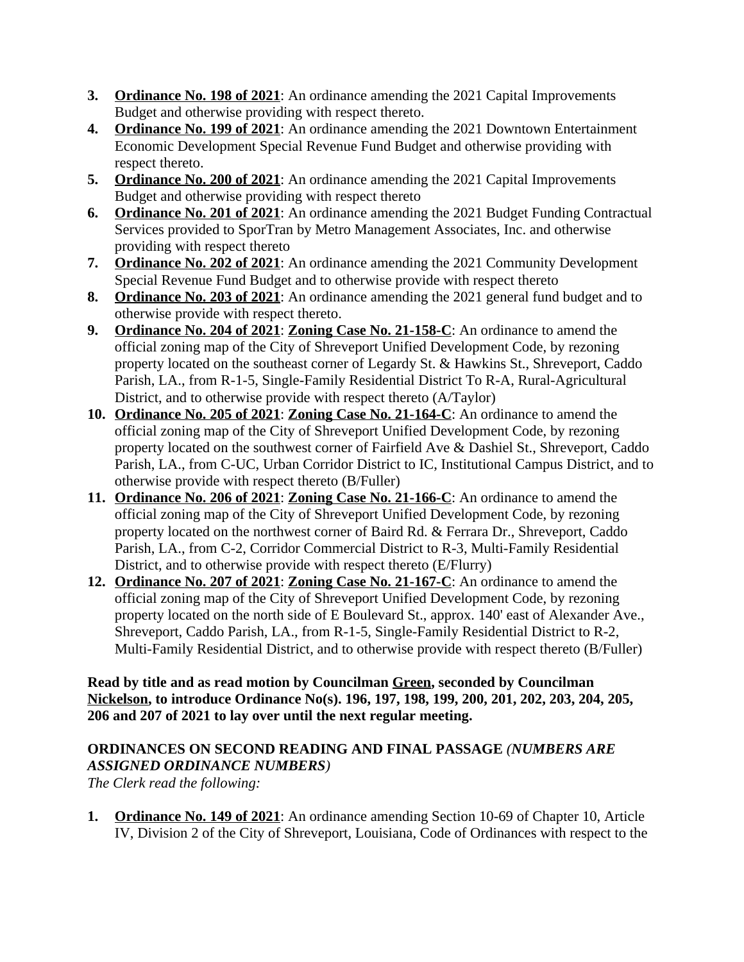- **3. Ordinance No. 198 of 2021**: An ordinance amending the 2021 Capital Improvements Budget and otherwise providing with respect thereto.
- **4. Ordinance No. 199 of 2021**: An ordinance amending the 2021 Downtown Entertainment Economic Development Special Revenue Fund Budget and otherwise providing with respect thereto.
- **5. Ordinance No. 200 of 2021**: An ordinance amending the 2021 Capital Improvements Budget and otherwise providing with respect thereto
- **6. Ordinance No. 201 of 2021**: An ordinance amending the 2021 Budget Funding Contractual Services provided to SporTran by Metro Management Associates, Inc. and otherwise providing with respect thereto
- **7. Ordinance No. 202 of 2021**: An ordinance amending the 2021 Community Development Special Revenue Fund Budget and to otherwise provide with respect thereto
- **8. Ordinance No. 203 of 2021**: An ordinance amending the 2021 general fund budget and to otherwise provide with respect thereto.
- **9. Ordinance No. 204 of 2021**: **Zoning Case No. 21-158-C**: An ordinance to amend the official zoning map of the City of Shreveport Unified Development Code, by rezoning property located on the southeast corner of Legardy St. & Hawkins St., Shreveport, Caddo Parish, LA., from R-1-5, Single-Family Residential District To R-A, Rural-Agricultural District, and to otherwise provide with respect thereto (A/Taylor)
- **10. Ordinance No. 205 of 2021**: **Zoning Case No. 21-164-C**: An ordinance to amend the official zoning map of the City of Shreveport Unified Development Code, by rezoning property located on the southwest corner of Fairfield Ave & Dashiel St., Shreveport, Caddo Parish, LA., from C-UC, Urban Corridor District to IC, Institutional Campus District, and to otherwise provide with respect thereto (B/Fuller)
- **11. Ordinance No. 206 of 2021**: **Zoning Case No. 21-166-C**: An ordinance to amend the official zoning map of the City of Shreveport Unified Development Code, by rezoning property located on the northwest corner of Baird Rd. & Ferrara Dr., Shreveport, Caddo Parish, LA., from C-2, Corridor Commercial District to R-3, Multi-Family Residential District, and to otherwise provide with respect thereto (E/Flurry)
- **12. Ordinance No. 207 of 2021**: **Zoning Case No. 21-167-C**: An ordinance to amend the official zoning map of the City of Shreveport Unified Development Code, by rezoning property located on the north side of E Boulevard St., approx. 140' east of Alexander Ave., Shreveport, Caddo Parish, LA., from R-1-5, Single-Family Residential District to R-2, Multi-Family Residential District, and to otherwise provide with respect thereto (B/Fuller)

**Read by title and as read motion by Councilman Green, seconded by Councilman Nickelson, to introduce Ordinance No(s). 196, 197, 198, 199, 200, 201, 202, 203, 204, 205, 206 and 207 of 2021 to lay over until the next regular meeting.** 

# **ORDINANCES ON SECOND READING AND FINAL PASSAGE** *(NUMBERS ARE ASSIGNED ORDINANCE NUMBERS)*

*The Clerk read the following:* 

**1. Ordinance No. 149 of 2021**: An ordinance amending Section 10-69 of Chapter 10, Article IV, Division 2 of the City of Shreveport, Louisiana, Code of Ordinances with respect to the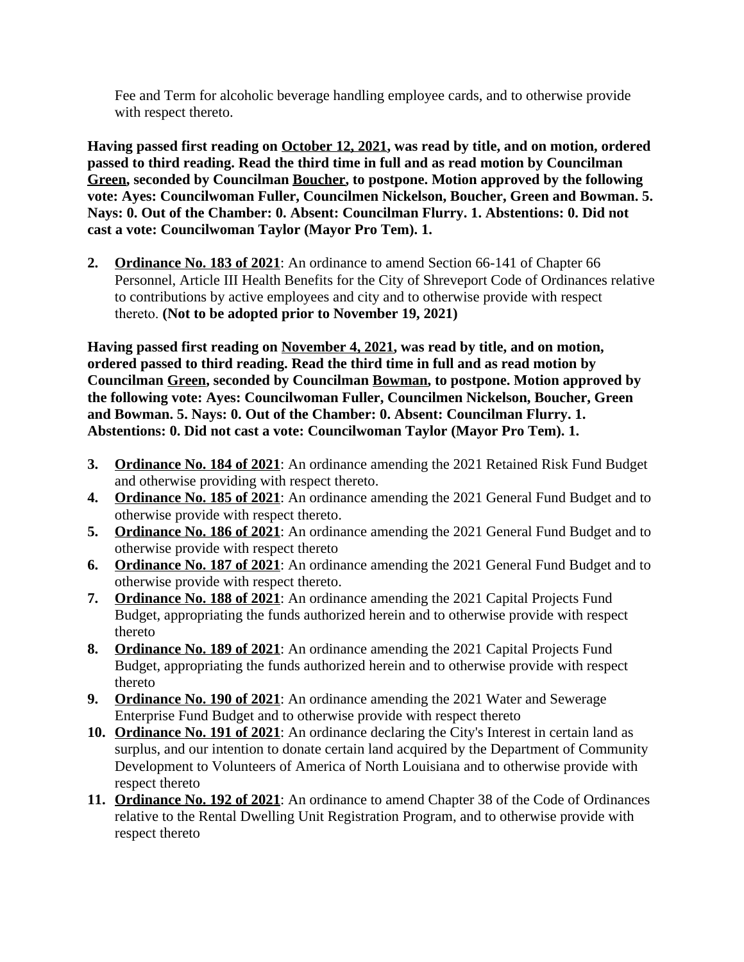Fee and Term for alcoholic beverage handling employee cards, and to otherwise provide with respect thereto.

**Having passed first reading on October 12, 2021, was read by title, and on motion, ordered passed to third reading. Read the third time in full and as read motion by Councilman Green, seconded by Councilman Boucher, to postpone. Motion approved by the following vote: Ayes: Councilwoman Fuller, Councilmen Nickelson, Boucher, Green and Bowman. 5. Nays: 0. Out of the Chamber: 0. Absent: Councilman Flurry. 1. Abstentions: 0. Did not cast a vote: Councilwoman Taylor (Mayor Pro Tem). 1.**

**2. Ordinance No. 183 of 2021**: An ordinance to amend Section 66-141 of Chapter 66 Personnel, Article III Health Benefits for the City of Shreveport Code of Ordinances relative to contributions by active employees and city and to otherwise provide with respect thereto. **(Not to be adopted prior to November 19, 2021)**

**Having passed first reading on November 4, 2021, was read by title, and on motion, ordered passed to third reading. Read the third time in full and as read motion by Councilman Green, seconded by Councilman Bowman, to postpone. Motion approved by the following vote: Ayes: Councilwoman Fuller, Councilmen Nickelson, Boucher, Green and Bowman. 5. Nays: 0. Out of the Chamber: 0. Absent: Councilman Flurry. 1. Abstentions: 0. Did not cast a vote: Councilwoman Taylor (Mayor Pro Tem). 1.**

- **3. Ordinance No. 184 of 2021**: An ordinance amending the 2021 Retained Risk Fund Budget and otherwise providing with respect thereto.
- **4. Ordinance No. 185 of 2021**: An ordinance amending the 2021 General Fund Budget and to otherwise provide with respect thereto.
- **5. Ordinance No. 186 of 2021**: An ordinance amending the 2021 General Fund Budget and to otherwise provide with respect thereto
- **6. Ordinance No. 187 of 2021**: An ordinance amending the 2021 General Fund Budget and to otherwise provide with respect thereto.
- **7. Ordinance No. 188 of 2021**: An ordinance amending the 2021 Capital Projects Fund Budget, appropriating the funds authorized herein and to otherwise provide with respect thereto
- **8. Ordinance No. 189 of 2021**: An ordinance amending the 2021 Capital Projects Fund Budget, appropriating the funds authorized herein and to otherwise provide with respect thereto
- **9. Ordinance No. 190 of 2021**: An ordinance amending the 2021 Water and Sewerage Enterprise Fund Budget and to otherwise provide with respect thereto
- **10. Ordinance No. 191 of 2021**: An ordinance declaring the City's Interest in certain land as surplus, and our intention to donate certain land acquired by the Department of Community Development to Volunteers of America of North Louisiana and to otherwise provide with respect thereto
- **11. Ordinance No. 192 of 2021**: An ordinance to amend Chapter 38 of the Code of Ordinances relative to the Rental Dwelling Unit Registration Program, and to otherwise provide with respect thereto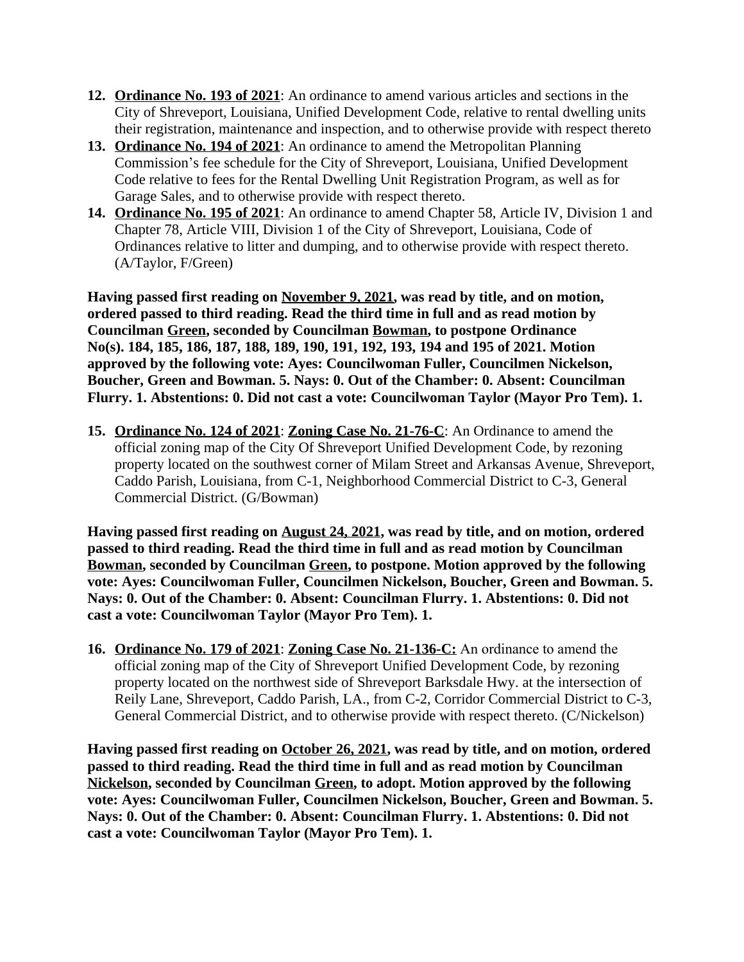- **12. Ordinance No. 193 of 2021**: An ordinance to amend various articles and sections in the City of Shreveport, Louisiana, Unified Development Code, relative to rental dwelling units their registration, maintenance and inspection, and to otherwise provide with respect thereto
- **13. Ordinance No. 194 of 2021**: An ordinance to amend the Metropolitan Planning Commission's fee schedule for the City of Shreveport, Louisiana, Unified Development Code relative to fees for the Rental Dwelling Unit Registration Program, as well as for Garage Sales, and to otherwise provide with respect thereto.
- **14. Ordinance No. 195 of 2021**: An ordinance to amend Chapter 58, Article IV, Division 1 and Chapter 78, Article VIII, Division 1 of the City of Shreveport, Louisiana, Code of Ordinances relative to litter and dumping, and to otherwise provide with respect thereto. (A/Taylor, F/Green)

**Having passed first reading on November 9, 2021, was read by title, and on motion, ordered passed to third reading. Read the third time in full and as read motion by Councilman Green, seconded by Councilman Bowman, to postpone Ordinance No(s). 184, 185, 186, 187, 188, 189, 190, 191, 192, 193, 194 and 195 of 2021. Motion approved by the following vote: Ayes: Councilwoman Fuller, Councilmen Nickelson, Boucher, Green and Bowman. 5. Nays: 0. Out of the Chamber: 0. Absent: Councilman Flurry. 1. Abstentions: 0. Did not cast a vote: Councilwoman Taylor (Mayor Pro Tem). 1.**

**15. Ordinance No. 124 of 2021**: **Zoning Case No. 21-76-C**: An Ordinance to amend the official zoning map of the City Of Shreveport Unified Development Code, by rezoning property located on the southwest corner of Milam Street and Arkansas Avenue, Shreveport, Caddo Parish, Louisiana, from C-1, Neighborhood Commercial District to C-3, General Commercial District. (G/Bowman)

**Having passed first reading on August 24, 2021, was read by title, and on motion, ordered passed to third reading. Read the third time in full and as read motion by Councilman Bowman, seconded by Councilman Green, to postpone. Motion approved by the following vote: Ayes: Councilwoman Fuller, Councilmen Nickelson, Boucher, Green and Bowman. 5. Nays: 0. Out of the Chamber: 0. Absent: Councilman Flurry. 1. Abstentions: 0. Did not cast a vote: Councilwoman Taylor (Mayor Pro Tem). 1.**

**16. Ordinance No. 179 of 2021**: **Zoning Case No. 21-136-C:** An ordinance to amend the official zoning map of the City of Shreveport Unified Development Code, by rezoning property located on the northwest side of Shreveport Barksdale Hwy. at the intersection of Reily Lane, Shreveport, Caddo Parish, LA., from C-2, Corridor Commercial District to C-3, General Commercial District, and to otherwise provide with respect thereto. (C/Nickelson)

**Having passed first reading on October 26, 2021, was read by title, and on motion, ordered passed to third reading. Read the third time in full and as read motion by Councilman Nickelson, seconded by Councilman Green, to adopt. Motion approved by the following vote: Ayes: Councilwoman Fuller, Councilmen Nickelson, Boucher, Green and Bowman. 5. Nays: 0. Out of the Chamber: 0. Absent: Councilman Flurry. 1. Abstentions: 0. Did not cast a vote: Councilwoman Taylor (Mayor Pro Tem). 1.**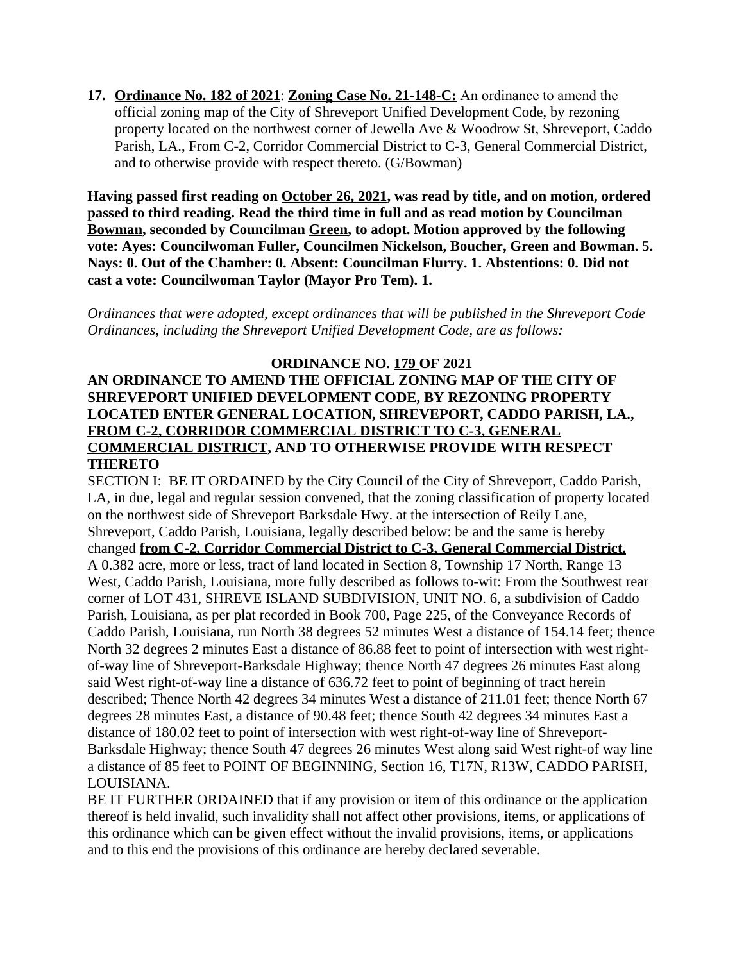**17. Ordinance No. 182 of 2021**: **Zoning Case No. 21-148-C:** An ordinance to amend the official zoning map of the City of Shreveport Unified Development Code, by rezoning property located on the northwest corner of Jewella Ave & Woodrow St, Shreveport, Caddo Parish, LA., From C-2, Corridor Commercial District to C-3, General Commercial District, and to otherwise provide with respect thereto. (G/Bowman)

**Having passed first reading on October 26, 2021, was read by title, and on motion, ordered passed to third reading. Read the third time in full and as read motion by Councilman Bowman, seconded by Councilman Green, to adopt. Motion approved by the following vote: Ayes: Councilwoman Fuller, Councilmen Nickelson, Boucher, Green and Bowman. 5. Nays: 0. Out of the Chamber: 0. Absent: Councilman Flurry. 1. Abstentions: 0. Did not cast a vote: Councilwoman Taylor (Mayor Pro Tem). 1.**

*Ordinances that were adopted, except ordinances that will be published in the Shreveport Code Ordinances, including the Shreveport Unified Development Code, are as follows:*

### **ORDINANCE NO. 179 OF 2021 AN ORDINANCE TO AMEND THE OFFICIAL ZONING MAP OF THE CITY OF SHREVEPORT UNIFIED DEVELOPMENT CODE, BY REZONING PROPERTY LOCATED ENTER GENERAL LOCATION, SHREVEPORT, CADDO PARISH, LA., FROM C-2, CORRIDOR COMMERCIAL DISTRICT TO C-3, GENERAL COMMERCIAL DISTRICT, AND TO OTHERWISE PROVIDE WITH RESPECT THERETO**

SECTION I: BE IT ORDAINED by the City Council of the City of Shreveport, Caddo Parish, LA, in due, legal and regular session convened, that the zoning classification of property located on the northwest side of Shreveport Barksdale Hwy. at the intersection of Reily Lane, Shreveport, Caddo Parish, Louisiana, legally described below: be and the same is hereby changed **from C-2, Corridor Commercial District to C-3, General Commercial District.** A 0.382 acre, more or less, tract of land located in Section 8, Township 17 North, Range 13 West, Caddo Parish, Louisiana, more fully described as follows to-wit: From the Southwest rear corner of LOT 431, SHREVE ISLAND SUBDIVISION, UNIT NO. 6, a subdivision of Caddo Parish, Louisiana, as per plat recorded in Book 700, Page 225, of the Conveyance Records of Caddo Parish, Louisiana, run North 38 degrees 52 minutes West a distance of 154.14 feet; thence North 32 degrees 2 minutes East a distance of 86.88 feet to point of intersection with west rightof-way line of Shreveport-Barksdale Highway; thence North 47 degrees 26 minutes East along said West right-of-way line a distance of 636.72 feet to point of beginning of tract herein described; Thence North 42 degrees 34 minutes West a distance of 211.01 feet; thence North 67 degrees 28 minutes East, a distance of 90.48 feet; thence South 42 degrees 34 minutes East a distance of 180.02 feet to point of intersection with west right-of-way line of Shreveport-Barksdale Highway; thence South 47 degrees 26 minutes West along said West right-of way line a distance of 85 feet to POINT OF BEGINNING, Section 16, T17N, R13W, CADDO PARISH, LOUISIANA.

BE IT FURTHER ORDAINED that if any provision or item of this ordinance or the application thereof is held invalid, such invalidity shall not affect other provisions, items, or applications of this ordinance which can be given effect without the invalid provisions, items, or applications and to this end the provisions of this ordinance are hereby declared severable.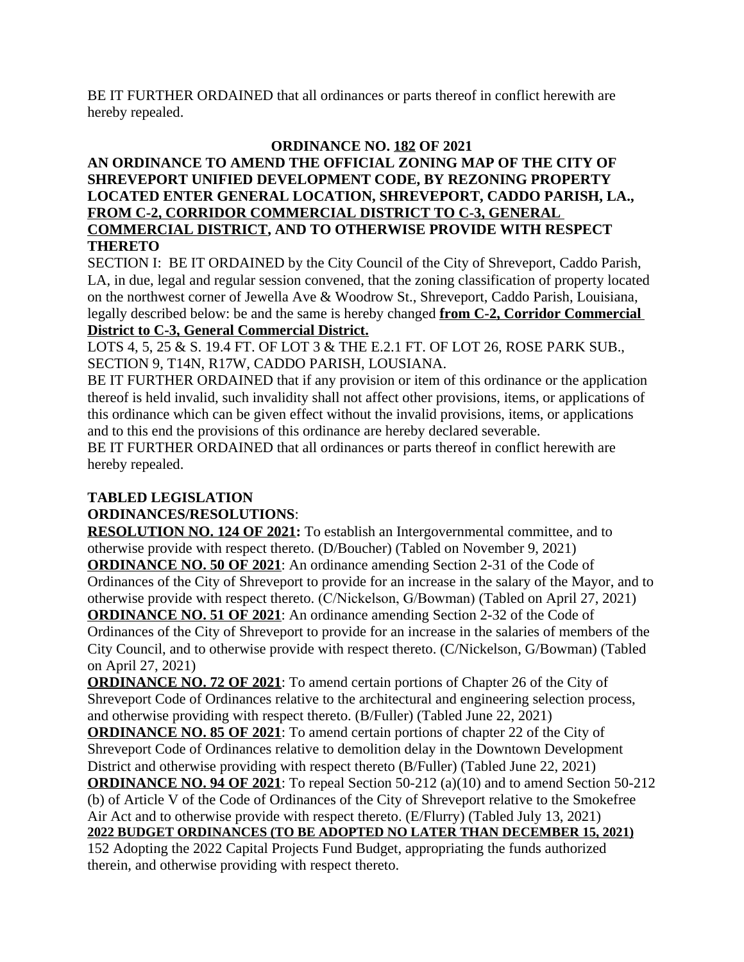BE IT FURTHER ORDAINED that all ordinances or parts thereof in conflict herewith are hereby repealed.

# **ORDINANCE NO. 182 OF 2021**

### **AN ORDINANCE TO AMEND THE OFFICIAL ZONING MAP OF THE CITY OF SHREVEPORT UNIFIED DEVELOPMENT CODE, BY REZONING PROPERTY LOCATED ENTER GENERAL LOCATION, SHREVEPORT, CADDO PARISH, LA., FROM C-2, CORRIDOR COMMERCIAL DISTRICT TO C-3, GENERAL COMMERCIAL DISTRICT, AND TO OTHERWISE PROVIDE WITH RESPECT THERETO**

SECTION I: BE IT ORDAINED by the City Council of the City of Shreveport, Caddo Parish, LA, in due, legal and regular session convened, that the zoning classification of property located on the northwest corner of Jewella Ave & Woodrow St., Shreveport, Caddo Parish, Louisiana, legally described below: be and the same is hereby changed **from C-2, Corridor Commercial District to C-3, General Commercial District.**

LOTS 4, 5, 25 & S. 19.4 FT. OF LOT 3 & THE E.2.1 FT. OF LOT 26, ROSE PARK SUB., SECTION 9, T14N, R17W, CADDO PARISH, LOUSIANA.

BE IT FURTHER ORDAINED that if any provision or item of this ordinance or the application thereof is held invalid, such invalidity shall not affect other provisions, items, or applications of this ordinance which can be given effect without the invalid provisions, items, or applications and to this end the provisions of this ordinance are hereby declared severable.

BE IT FURTHER ORDAINED that all ordinances or parts thereof in conflict herewith are hereby repealed.

# **TABLED LEGISLATION**

# **ORDINANCES/RESOLUTIONS**:

**RESOLUTION NO. 124 OF 2021:** To establish an Intergovernmental committee, and to otherwise provide with respect thereto. (D/Boucher) (Tabled on November 9, 2021) **ORDINANCE NO. 50 OF 2021**: An ordinance amending Section 2-31 of the Code of Ordinances of the City of Shreveport to provide for an increase in the salary of the Mayor, and to otherwise provide with respect thereto. (C/Nickelson, G/Bowman) (Tabled on April 27, 2021) **ORDINANCE NO. 51 OF 2021**: An ordinance amending Section 2-32 of the Code of

Ordinances of the City of Shreveport to provide for an increase in the salaries of members of the City Council, and to otherwise provide with respect thereto. (C/Nickelson, G/Bowman) (Tabled on April 27, 2021)

**ORDINANCE NO. 72 OF 2021**: To amend certain portions of Chapter 26 of the City of Shreveport Code of Ordinances relative to the architectural and engineering selection process, and otherwise providing with respect thereto. (B/Fuller) (Tabled June 22, 2021)

**ORDINANCE NO. 85 OF 2021**: To amend certain portions of chapter 22 of the City of Shreveport Code of Ordinances relative to demolition delay in the Downtown Development District and otherwise providing with respect thereto (B/Fuller) (Tabled June 22, 2021)

**ORDINANCE NO. 94 OF 2021**: To repeal Section 50-212 (a)(10) and to amend Section 50-212 (b) of Article V of the Code of Ordinances of the City of Shreveport relative to the Smokefree Air Act and to otherwise provide with respect thereto. (E/Flurry) (Tabled July 13, 2021)

**2022 BUDGET ORDINANCES (TO BE ADOPTED NO LATER THAN DECEMBER 15, 2021)**

152 Adopting the 2022 Capital Projects Fund Budget, appropriating the funds authorized therein, and otherwise providing with respect thereto.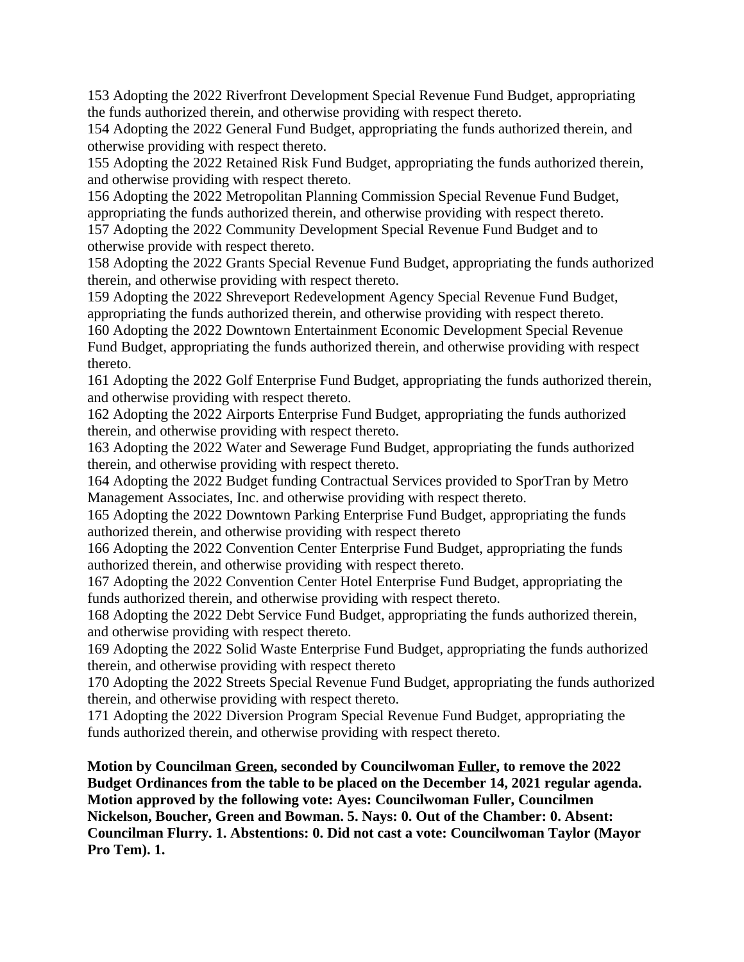153 Adopting the 2022 Riverfront Development Special Revenue Fund Budget, appropriating the funds authorized therein, and otherwise providing with respect thereto.

154 Adopting the 2022 General Fund Budget, appropriating the funds authorized therein, and otherwise providing with respect thereto.

155 Adopting the 2022 Retained Risk Fund Budget, appropriating the funds authorized therein, and otherwise providing with respect thereto.

156 Adopting the 2022 Metropolitan Planning Commission Special Revenue Fund Budget, appropriating the funds authorized therein, and otherwise providing with respect thereto.

157 Adopting the 2022 Community Development Special Revenue Fund Budget and to otherwise provide with respect thereto.

158 Adopting the 2022 Grants Special Revenue Fund Budget, appropriating the funds authorized therein, and otherwise providing with respect thereto.

159 Adopting the 2022 Shreveport Redevelopment Agency Special Revenue Fund Budget, appropriating the funds authorized therein, and otherwise providing with respect thereto.

160 Adopting the 2022 Downtown Entertainment Economic Development Special Revenue Fund Budget, appropriating the funds authorized therein, and otherwise providing with respect thereto.

161 Adopting the 2022 Golf Enterprise Fund Budget, appropriating the funds authorized therein, and otherwise providing with respect thereto.

162 Adopting the 2022 Airports Enterprise Fund Budget, appropriating the funds authorized therein, and otherwise providing with respect thereto.

163 Adopting the 2022 Water and Sewerage Fund Budget, appropriating the funds authorized therein, and otherwise providing with respect thereto.

164 Adopting the 2022 Budget funding Contractual Services provided to SporTran by Metro Management Associates, Inc. and otherwise providing with respect thereto.

165 Adopting the 2022 Downtown Parking Enterprise Fund Budget, appropriating the funds authorized therein, and otherwise providing with respect thereto

166 Adopting the 2022 Convention Center Enterprise Fund Budget, appropriating the funds authorized therein, and otherwise providing with respect thereto.

167 Adopting the 2022 Convention Center Hotel Enterprise Fund Budget, appropriating the funds authorized therein, and otherwise providing with respect thereto.

168 Adopting the 2022 Debt Service Fund Budget, appropriating the funds authorized therein, and otherwise providing with respect thereto.

169 Adopting the 2022 Solid Waste Enterprise Fund Budget, appropriating the funds authorized therein, and otherwise providing with respect thereto

170 Adopting the 2022 Streets Special Revenue Fund Budget, appropriating the funds authorized therein, and otherwise providing with respect thereto.

171 Adopting the 2022 Diversion Program Special Revenue Fund Budget, appropriating the funds authorized therein, and otherwise providing with respect thereto.

**Motion by Councilman Green, seconded by Councilwoman Fuller, to remove the 2022 Budget Ordinances from the table to be placed on the December 14, 2021 regular agenda. Motion approved by the following vote: Ayes: Councilwoman Fuller, Councilmen Nickelson, Boucher, Green and Bowman. 5. Nays: 0. Out of the Chamber: 0. Absent: Councilman Flurry. 1. Abstentions: 0. Did not cast a vote: Councilwoman Taylor (Mayor Pro Tem). 1.**